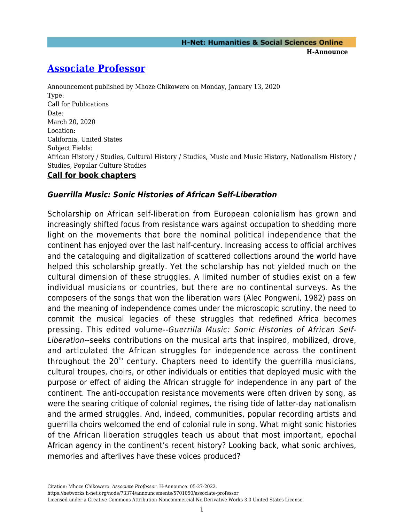**H-Announce** 

## **[Associate Professor](https://networks.h-net.org/node/73374/announcements/5701050/associate-professor)**

Announcement published by Mhoze Chikowero on Monday, January 13, 2020 Type: Call for Publications Date: March 20, 2020 Location: California, United States Subject Fields: African History / Studies, Cultural History / Studies, Music and Music History, Nationalism History / Studies, Popular Culture Studies

## **Call for book chapters**

## *Guerrilla Music: Sonic Histories of African Self-Liberation*

Scholarship on African self-liberation from European colonialism has grown and increasingly shifted focus from resistance wars against occupation to shedding more light on the movements that bore the nominal political independence that the continent has enjoyed over the last half-century. Increasing access to official archives and the cataloguing and digitalization of scattered collections around the world have helped this scholarship greatly. Yet the scholarship has not yielded much on the cultural dimension of these struggles. A limited number of studies exist on a few individual musicians or countries, but there are no continental surveys. As the composers of the songs that won the liberation wars (Alec Pongweni, 1982) pass on and the meaning of independence comes under the microscopic scrutiny, the need to commit the musical legacies of these struggles that redefined Africa becomes pressing. This edited volume--Guerrilla Music: Sonic Histories of African Self-Liberation--seeks contributions on the musical arts that inspired, mobilized, drove, and articulated the African struggles for independence across the continent throughout the  $20<sup>th</sup>$  century. Chapters need to identify the querrilla musicians, cultural troupes, choirs, or other individuals or entities that deployed music with the purpose or effect of aiding the African struggle for independence in any part of the continent. The anti-occupation resistance movements were often driven by song, as were the searing critique of colonial regimes, the rising tide of latter-day nationalism and the armed struggles. And, indeed, communities, popular recording artists and guerrilla choirs welcomed the end of colonial rule in song. What might sonic histories of the African liberation struggles teach us about that most important, epochal African agency in the continent's recent history? Looking back, what sonic archives, memories and afterlives have these voices produced?

https://networks.h-net.org/node/73374/announcements/5701050/associate-professor Licensed under a Creative Commons Attribution-Noncommercial-No Derivative Works 3.0 United States License.